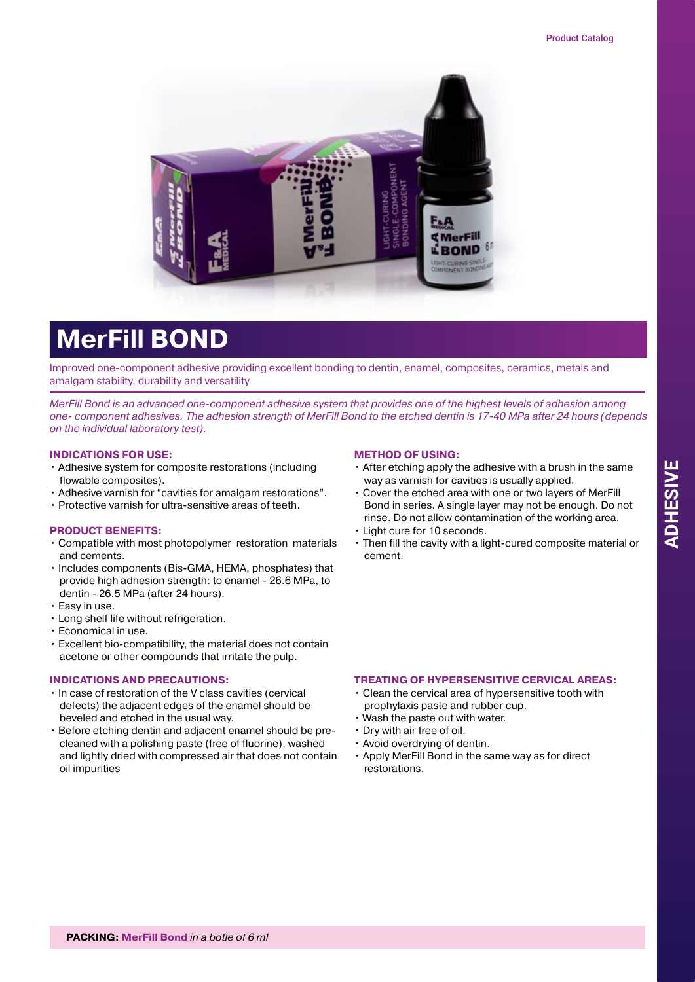

# **MerFill BOND**

Improved one-component adhesive providing excellent bonding to dentin, enamel, composites, ceramics, metals and amalgam stability, durability and versatility

*MerFill Bond is an advanced one-component adhesive system that provides one of the highest levels of adhesion among one- component adhesives. The adhesion strength of MerFill Bond to the etched dentin is 17-40 MPa after 24 hours (depends on the individual laboratory test).*

## **INDICATIONS FOR USE:**

- Adhesive system for composite restorations (including flowable composites).
- Adhesive varnish for "cavities for amalgam restorations".
- Protective varnish for ultra-sensitive areas of teeth.

# **PRODUCT BENEFITS:**

- Compatible with most photopolymer restoration materials and cements.
- Includes components (Bis-GMA, HEMA, phosphates) that provide high adhesion strength: to enamel - 26.6 MPa, to dentin - 26.5 MPa (after 24 hours).
- Easy in use.
- Long shelf life without refrigeration.
- Economical in use.
- Excellent bio-compatibility, the material does not contain acetone or other compounds that irritate the pulp.

## **INDICATIONS AND PRECAUTIONS:**

- In case of restoration of the V class cavities (cervical defects) the adjacent edges of the enamel should be beveled and etched in the usual way.
- Before etching dentin and adjacent enamel should be precleaned with a polishing paste (free of fluorine), washed and lightly dried with compressed air that does not contain oil impurities

#### **METHOD OF USING:**

- After etching apply the adhesive with a brush in the same way as varnish for cavities is usually applied.
- Cover the etched area with one or two layers of MerFill Bond in series. A single layer may not be enough. Do not rinse. Do not allow contamination of the working area.
- Light cure for 10 seconds.
- Then fill the cavity with a light-cured composite material or cement.

#### **TREATING OF HYPERSENSITIVE CERVICAL AREAS:**

- Clean the cervical area of hypersensitive tooth with prophylaxis paste and rubber cup.
- Wash the paste out with water.
- Dry with air free of oil.
- Avoid overdrying of dentin.
- Apply MerFill Bond in the same way as for direct restorations.

**ADHESIVE**

**ADHESIVE**